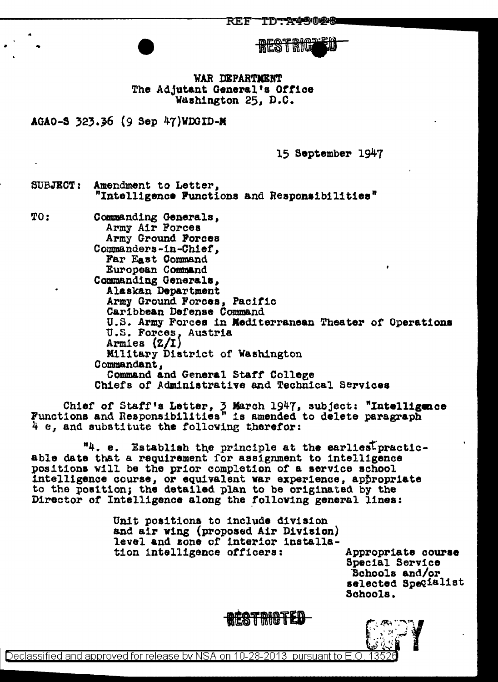TDTA45028 REF

**RESTRIC** 

'WAR DBPARTJIBNT The Adjutant General's Ottice Washington 25, D.C.

AGAO-S 32}.}6 (9 Sep 47)WDGID-M

15 September 1947

SUBJECT: Amendment to Letter,<br>"Intelligence Functions and Reaponsibilities"

...

TO: Commanding Generals, Army Air Forces Army Ground Forces Commanders-in-Chief, Par East Command European Command Commanding Generals,<br>Alaskan Department Army Ground Forces, Pacific Caribbean Defense Command U.S. Army Forces in Mediterranean Theater of Operations<br>U.S. Forces, Austria<br>Armies (Z/I) Military District of Washington<br>Commandant,<br>Command and General Staff College Chiefs of Administrative and Technical Services

Chief of Staff's Letter,  $\frac{1}{2}$  March 1947, subject: "Intelligence Functions and Responsibilities" is amended to delete paragraph  $\frac{1}{4}$  e, and substitute the following therefor:

 $"4. e.$  Establish the principle at the earlies<sup>T</sup> practic-<br>able date that a requirement for assignment to intelligence<br>positions will be the prior completion of a service school intelligence course, or equivalent war experience, appropriate to the position; the detailed plan to be originated by the Director of Intelligence along the following general lines:

> Unit positions to include division<br>and air wing (proposed Air Division) level and zone of interior installation intelligence officers: Appropriate courae

Special Service ·schools and/or selected Specialist Schools.